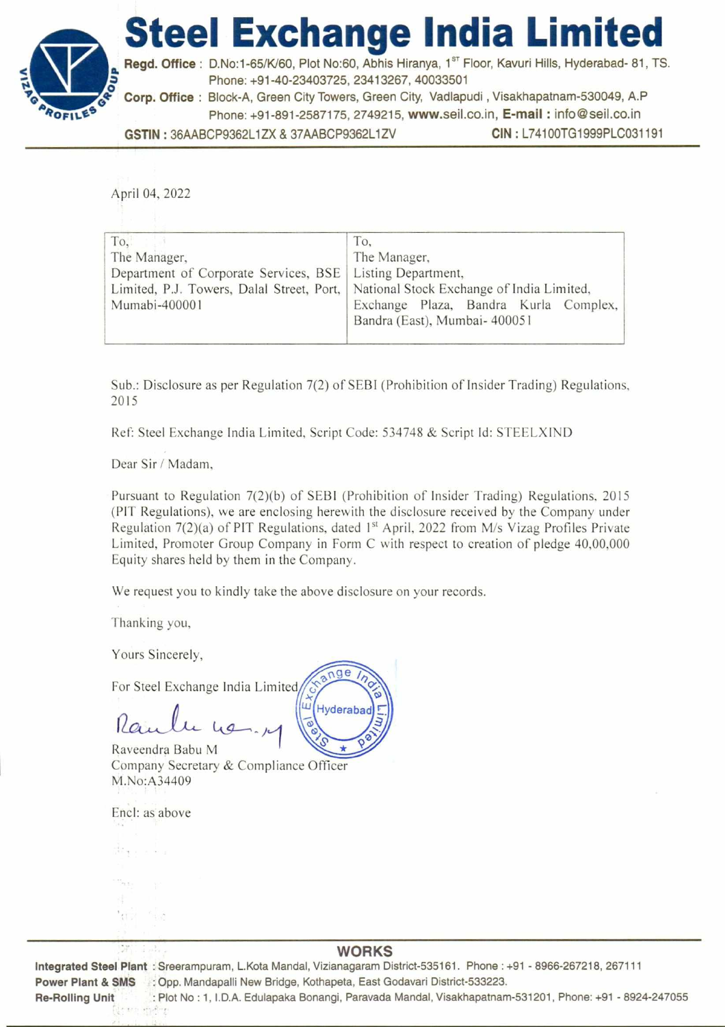## **Steel Exchange India Limited**



Regd. Office : D.No:1-65/K/60, Plot No:60, Abhis Hiranya, 1<sup>st</sup> Floor, Kavuri Hills, Hyderabad- 81, TS. **z** Phone: +91-40-23403725, 23413267, 40033501

**# Corp. Office :** Block-A, Green City Towers, Green City, Vadlapudi , Visakhapatnam-530049, A.P Phone: +91-891-2587175, 2749215, www.seil.co.in, **E-mail :** info@seil.co.in

**GSTIN :** 36AABCP9362L1ZX & 37AABCP9362L1ZV **CIN :** L74100TG1999PLC031191

April 04, 2022

| To.                                                         | To,                                                                                   |  |  |  |  |  |
|-------------------------------------------------------------|---------------------------------------------------------------------------------------|--|--|--|--|--|
| The Manager,                                                | The Manager,                                                                          |  |  |  |  |  |
| Department of Corporate Services, BSE   Listing Department, | Limited, P.J. Towers, Dalal Street, Port,   National Stock Exchange of India Limited, |  |  |  |  |  |
| Mumabi-400001                                               | Exchange Plaza, Bandra Kurla Complex,<br>Bandra (East), Mumbai- 400051                |  |  |  |  |  |

Sub.: Disclosure as per Regulation 7(2) of SEBI (Prohibition of Insider Trading) Regulations, 2015

Ref: Steel Exchange India Limited, Script Code: 534748 & Script Id: STEELXIND

Hyderabad

Dear Sir / Madam,

Pursuant to Regulation 7(2)(b) of SEBI (Prohibition of Insider Trading) Regulations, 2015 (PIT Regulations), we are enclosing herewith the disclosure received by the Company under Regulation 7(2)(a) of PIT Regulations, dated 1<sup>st</sup> April, 2022 from M/s Vizag Profiles Private Limited, Promoter Group Company in Form C with respect to creation of pledge 40,00,000 Equity shares held by them in the Company.

We request you to kindly take the above disclosure on your records.

Thanking you,

Yours Sincerely,

For Steel Exchange India Limited nge

Raveendra Babu M Company Secretary & Compliance Officer M.No:A34409

Encl: as above

de L  $^{\prime}$  (1  $^{-}$ 

## **WORKS**

**Integrated Steel Plant :** Sreerampuram, L.Kota Mandal, Vizianagaram District-535161. Phone : +91 - 8966-267218, 267111 Power Plant & SMS : Opp. Mandapalli New Bridge, Kothapeta, East Godavari District-533223. **Re-Rolling Unit :** Plot No : 1, I.D.A. Edulapaka Bonangi, Paravada Mandal, Visakhapatnam-531201, Phone: +91 - 8924-247055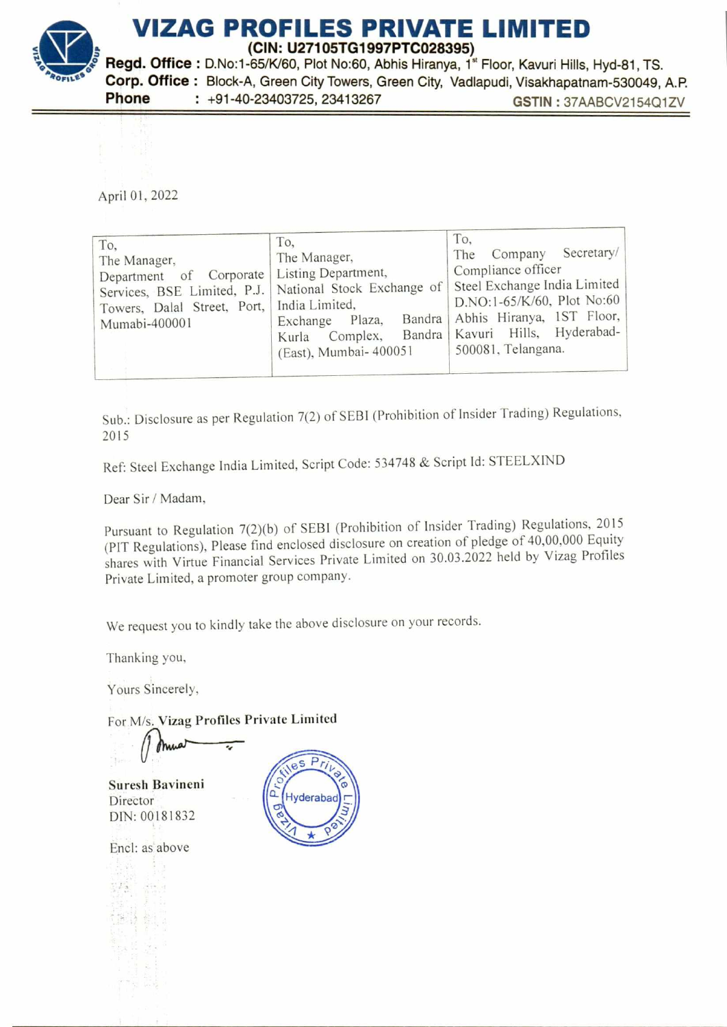

April 01, 2022

| To,<br>The Manager,<br>Department of Corporate<br>Towers, Dalal Street, Port,   India Limited,<br>Mumabi-400001 | To.<br>The Manager,<br>Listing Department,<br>Services, BSE Limited, P.J.   National Stock Exchange of  <br>Bandra<br>Plaza,<br>Exchange<br>Complex,<br>Kurla<br>(East), Mumbai- 400051 | To.<br>The Company Secretary/<br>Compliance officer<br>Steel Exchange India Limited<br>D.NO:1-65/K/60, Plot No:60<br>Abhis Hiranya, 1ST Floor,<br>Bandra   Kavuri Hills, Hyderabad-<br>500081, Telangana. |
|-----------------------------------------------------------------------------------------------------------------|-----------------------------------------------------------------------------------------------------------------------------------------------------------------------------------------|-----------------------------------------------------------------------------------------------------------------------------------------------------------------------------------------------------------|
|-----------------------------------------------------------------------------------------------------------------|-----------------------------------------------------------------------------------------------------------------------------------------------------------------------------------------|-----------------------------------------------------------------------------------------------------------------------------------------------------------------------------------------------------------|

Sub.: Disclosure as per Regulation 7(2) of SEBI (Prohibition of Insider Trading) Regulations, 2015

Ref: Steel Exchange India Limited, Script Code: 534748 & Script Id: STEELXIND

Dear Sir / Madam,

Pursuant to Regulation 7(2)(b) of SEBI (Prohibition of Insider Trading) Regulations, 2015 (PIT Regulations), Please find enclosed disclosure on creation of pledge of 40,00,000 Equity shares with Virtue Financial Services Private Limited on 30.03.2022 held by Vizag Profiles Private Limited, a promoter group company.

We request you to kindly take the above disclosure on your records.

Thanking you,

Yours Sincerely,

For M/s. Vizag Profiles Private Limited

Suresh Bavineni Director DIN: 00181832

Encl: as above

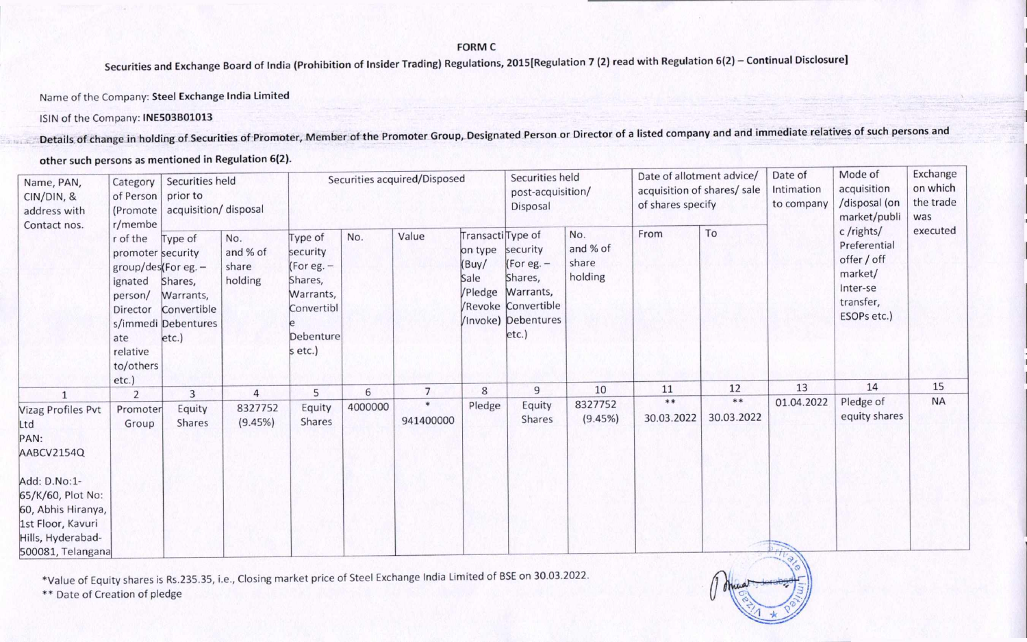**FORM C** 

**Securities and Exchange Board of India (Prohibition of Insider Trading) Regulations, 2015[Regulation 7 (2) read with Regulation 6(2) — Continual Disclosure]** 

Name of the Company: **Steel Exchange India Limited** 

ISIN of the Company: **INE503B01013** 

**Details, of change in holding of Securities of Promoter, Member of the Promoter Group, Designated Person or Director of a listed company and and immediate relatives of such persons and** 

**other such persons as mentioned in Regulation 6(2).** 

| Name, PAN,<br>CIN/DIN, &<br>address with                                                                               | Securities held<br>Category<br>prior to<br>of Person<br>acquisition/ disposal<br>(Promote)<br>r/membe                     |                                                                                |                                     |                                                                                                   |         | Securities acquired/Disposed |                                                          | Securities held<br>post-acquisition/<br>Disposal                                                               |                                     | Date of allotment advice/<br>acquisition of shares/ sale<br>of shares specify |                  | Date of<br>Intimation<br>to company | Mode of<br>acquisition<br>/disposal (on<br>market/publi                                     | Exchange<br>on which<br>the trade<br>was |
|------------------------------------------------------------------------------------------------------------------------|---------------------------------------------------------------------------------------------------------------------------|--------------------------------------------------------------------------------|-------------------------------------|---------------------------------------------------------------------------------------------------|---------|------------------------------|----------------------------------------------------------|----------------------------------------------------------------------------------------------------------------|-------------------------------------|-------------------------------------------------------------------------------|------------------|-------------------------------------|---------------------------------------------------------------------------------------------|------------------------------------------|
| Contact nos.                                                                                                           | r of the<br>promoter security<br>$group/des$ (For eg. -<br>ignated<br>person/<br>Director<br>ate<br>relative<br>to/others | Type of<br>Shares,<br>Warrants,<br>Convertible<br>s/immedi Debentures<br>etc.) | No.<br>and % of<br>share<br>holding | Type of<br>security<br>(For eg. -<br>Shares,<br>Warrants,<br>Convertibl<br>Debenture<br>$setc$ .) | No.     | Value                        | Transacti Type of<br>on type<br>(Buy/<br>Sale<br>/Pledge | security<br>(For eg. $-$<br>Shares,<br>Warrants,<br><b>/Revoke Convertible</b><br>/Invoke) Debentures<br>etc.) | No.<br>and % of<br>share<br>holding | From                                                                          | To               |                                     | c/rights/<br>Preferential<br>offer / off<br>market/<br>Inter-se<br>transfer,<br>ESOPs etc.) | executed                                 |
|                                                                                                                        | etc.)<br>$\overline{2}$                                                                                                   | 3                                                                              | 4                                   | 5                                                                                                 | 6       | $\overline{7}$               | 8                                                        | $\overline{9}$                                                                                                 | 10                                  | 11                                                                            | 12               | 13                                  | 14                                                                                          | 15                                       |
| Vizag Profiles Pvt<br>_td<br>PAN:<br>AABCV2154Q                                                                        | Promoter<br>Group                                                                                                         | Equity<br>Shares                                                               | 8327752<br>(9.45%)                  | Equity<br>Shares                                                                                  | 4000000 | $\ast$<br>941400000          | Pledge                                                   | Equity<br><b>Shares</b>                                                                                        | 8327752<br>(9.45%)                  | **<br>30.03.2022                                                              | **<br>30.03.2022 | 01.04.2022                          | Pledge of<br>equity shares                                                                  | <b>NA</b>                                |
| Add: D.No:1-<br>65/K/60, Plot No:<br>60, Abhis Hiranya,<br>1st Floor, Kavuri<br>Hills, Hyderabad-<br>500081, Telangana |                                                                                                                           |                                                                                |                                     |                                                                                                   |         |                              |                                                          |                                                                                                                |                                     |                                                                               |                  |                                     |                                                                                             |                                          |

\*Value of Equity shares is Rs.235.35, i.e., Closing market price of Steel Exchange India Limited of BSE on 30.03.2022.

\*\* Date of Creation of pledge